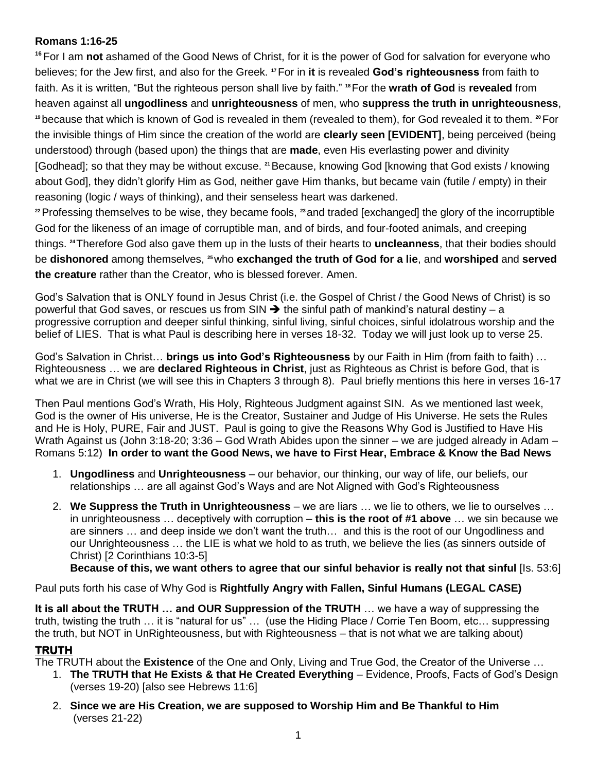## **Romans 1:16-25**

**<sup>16</sup>** For I am **not** ashamed of the Good News of Christ, for it is the power of God for salvation for everyone who believes; for the Jew first, and also for the Greek. **<sup>17</sup>**For in **it** is revealed **God's righteousness** from faith to faith. As it is written, "But the righteous person shall live by faith." **<sup>18</sup>**For the **wrath of God** is **revealed** from heaven against all **ungodliness** and **unrighteousness** of men, who **suppress the truth in unrighteousness**, **<sup>19</sup>** because that which is known of God is revealed in them (revealed to them), for God revealed it to them. **20**For the invisible things of Him since the creation of the world are **clearly seen [EVIDENT]**, being perceived (being understood) through (based upon) the things that are **made**, even His everlasting power and divinity [Godhead]; so that they may be without excuse. **<sup>21</sup>**Because, knowing God [knowing that God exists / knowing about God], they didn't glorify Him as God, neither gave Him thanks, but became vain (futile / empty) in their reasoning (logic / ways of thinking), and their senseless heart was darkened.

**<sup>22</sup>**Professing themselves to be wise, they became fools, **<sup>23</sup>** and traded [exchanged] the glory of the incorruptible God for the likeness of an image of corruptible man, and of birds, and four-footed animals, and creeping things. **<sup>24</sup>**Therefore God also gave them up in the lusts of their hearts to **uncleanness**, that their bodies should be **dishonored** among themselves, **25**who **exchanged the truth of God for a lie**, and **worshiped** and **served the creature** rather than the Creator, who is blessed forever. Amen.

God's Salvation that is ONLY found in Jesus Christ (i.e. the Gospel of Christ / the Good News of Christ) is so powerful that God saves, or rescues us from SIN  $\rightarrow$  the sinful path of mankind's natural destiny – a progressive corruption and deeper sinful thinking, sinful living, sinful choices, sinful idolatrous worship and the belief of LIES. That is what Paul is describing here in verses 18-32. Today we will just look up to verse 25.

God's Salvation in Christ… **brings us into God's Righteousness** by our Faith in Him (from faith to faith) … Righteousness … we are **declared Righteous in Christ**, just as Righteous as Christ is before God, that is what we are in Christ (we will see this in Chapters 3 through 8). Paul briefly mentions this here in verses 16-17

Then Paul mentions God's Wrath, His Holy, Righteous Judgment against SIN. As we mentioned last week, God is the owner of His universe, He is the Creator, Sustainer and Judge of His Universe. He sets the Rules and He is Holy, PURE, Fair and JUST. Paul is going to give the Reasons Why God is Justified to Have His Wrath Against us (John 3:18-20; 3:36 – God Wrath Abides upon the sinner – we are judged already in Adam – Romans 5:12) **In order to want the Good News, we have to First Hear, Embrace & Know the Bad News**

- 1. **Ungodliness** and **Unrighteousness** our behavior, our thinking, our way of life, our beliefs, our relationships … are all against God's Ways and are Not Aligned with God's Righteousness
- 2. **We Suppress the Truth in Unrighteousness** we are liars … we lie to others, we lie to ourselves … in unrighteousness … deceptively with corruption – **this is the root of #1 above** … we sin because we are sinners … and deep inside we don't want the truth… and this is the root of our Ungodliness and our Unrighteousness … the LIE is what we hold to as truth, we believe the lies (as sinners outside of Christ) [2 Corinthians 10:3-5]

**Because of this, we want others to agree that our sinful behavior is really not that sinful** [Is. 53:6]

Paul puts forth his case of Why God is **Rightfully Angry with Fallen, Sinful Humans (LEGAL CASE)**

**It is all about the TRUTH … and OUR Suppression of the TRUTH** … we have a way of suppressing the truth, twisting the truth … it is "natural for us" … (use the Hiding Place / Corrie Ten Boom, etc… suppressing the truth, but NOT in UnRighteousness, but with Righteousness – that is not what we are talking about)

## **TRUTH**

The TRUTH about the **Existence** of the One and Only, Living and True God, the Creator of the Universe …

- 1. **The TRUTH that He Exists & that He Created Everything** Evidence, Proofs, Facts of God's Design (verses 19-20) [also see Hebrews 11:6]
- 2. **Since we are His Creation, we are supposed to Worship Him and Be Thankful to Him** (verses 21-22)